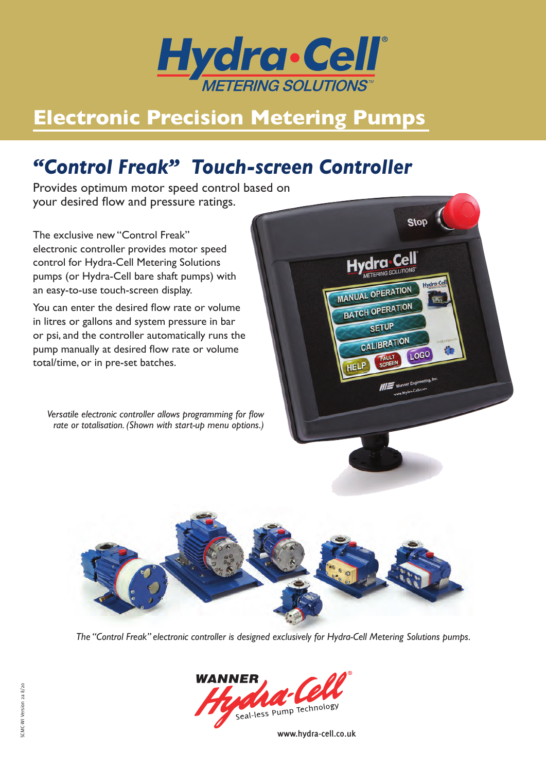

# **Electronic Precision Metering Pumps**

## *"Control Freak" Touch-screen Controller*

Provides optimum motor speed control based on your desired flow and pressure ratings.

The exclusive new "Control Freak" electronic controller provides motor speed control for Hydra-Cell Metering Solutions pumps (or Hydra-Cell bare shaft pumps) with an easy-to-use touch-screen display.

You can enter the desired flow rate or volume in litres or gallons and system pressure in bar or psi, and the controller automatically runs the pump manually at desired flow rate or volume total/time, or in pre-set batches.

*Versatile electronic controller allows programming for flow rate or totalisation. (Shown with start-up menu options.)*





*The "Control Freak" electronic controller is designed exclusively for Hydra-Cell Metering Solutions pumps.*